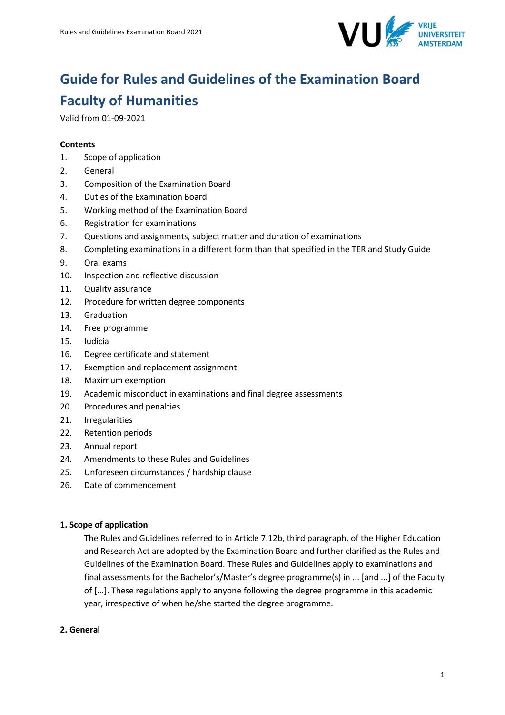

# **Guide for Rules and Guidelines of the Examination Board Faculty of Humanities**

Valid from 01-09-2021

### **Contents**

- 1. Scope of application
- 2. General
- 3. Composition of the Examination Board
- 4. Duties of the Examination Board
- 5. Working method of the Examination Board
- 6. Registration for examinations
- 7. Questions and assignments, subject matter and duration of examinations
- 8. Completing examinations in a different form than that specified in the TER and Study Guide
- 9. Oral exams
- 10. Inspection and reflective discussion
- 11. Quality assurance
- 12. Procedure for written degree components
- 13. Graduation
- 14. Free programme
- 15. Iudicia
- 16. Degree certificate and statement
- 17. Exemption and replacement assignment
- 18. Maximum exemption
- 19. Academic misconduct in examinations and final degree assessments
- 20. Procedures and penalties
- 21. Irregularities
- 22. Retention periods
- 23. Annual report
- 24. Amendments to these Rules and Guidelines
- 25. Unforeseen circumstances / hardship clause
- 26. Date of commencement

#### **1. Scope of application**

The Rules and Guidelines referred to in Article 7.12b, third paragraph, of the Higher Education and Research Act are adopted by the Examination Board and further clarified as the Rules and Guidelines of the Examination Board. These Rules and Guidelines apply to examinations and final assessments for the Bachelor's/Master's degree programme(s) in ... [and ...] of the Faculty of [...]. These regulations apply to anyone following the degree programme in this academic year, irrespective of when he/she started the degree programme.

#### **2. General**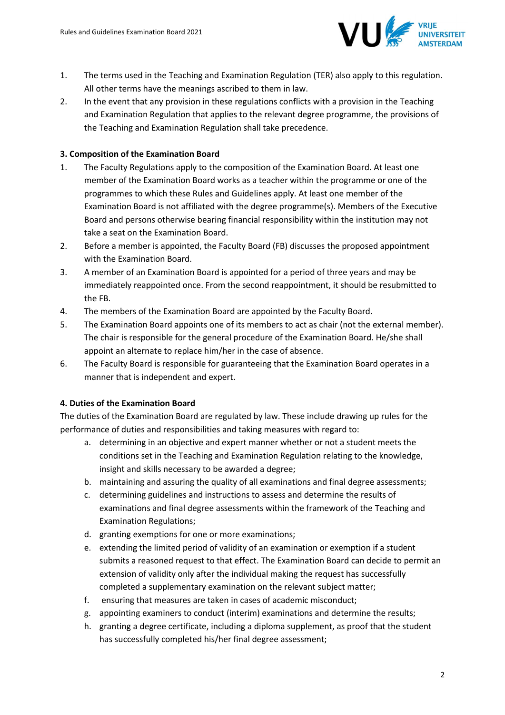

- 1. The terms used in the Teaching and Examination Regulation (TER) also apply to this regulation. All other terms have the meanings ascribed to them in law.
- 2. In the event that any provision in these regulations conflicts with a provision in the Teaching and Examination Regulation that applies to the relevant degree programme, the provisions of the Teaching and Examination Regulation shall take precedence.

# **3. Composition of the Examination Board**

- 1. The Faculty Regulations apply to the composition of the Examination Board. At least one member of the Examination Board works as a teacher within the programme or one of the programmes to which these Rules and Guidelines apply. At least one member of the Examination Board is not affiliated with the degree programme(s). Members of the Executive Board and persons otherwise bearing financial responsibility within the institution may not take a seat on the Examination Board.
- 2. Before a member is appointed, the Faculty Board (FB) discusses the proposed appointment with the Examination Board.
- 3. A member of an Examination Board is appointed for a period of three years and may be immediately reappointed once. From the second reappointment, it should be resubmitted to the FB.
- 4. The members of the Examination Board are appointed by the Faculty Board.
- 5. The Examination Board appoints one of its members to act as chair (not the external member). The chair is responsible for the general procedure of the Examination Board. He/she shall appoint an alternate to replace him/her in the case of absence.
- 6. The Faculty Board is responsible for guaranteeing that the Examination Board operates in a manner that is independent and expert.

# **4. Duties of the Examination Board**

The duties of the Examination Board are regulated by law. These include drawing up rules for the performance of duties and responsibilities and taking measures with regard to:

- a. determining in an objective and expert manner whether or not a student meets the conditions set in the Teaching and Examination Regulation relating to the knowledge, insight and skills necessary to be awarded a degree;
- b. maintaining and assuring the quality of all examinations and final degree assessments;
- c. determining guidelines and instructions to assess and determine the results of examinations and final degree assessments within the framework of the Teaching and Examination Regulations;
- d. granting exemptions for one or more examinations;
- e. extending the limited period of validity of an examination or exemption if a student submits a reasoned request to that effect. The Examination Board can decide to permit an extension of validity only after the individual making the request has successfully completed a supplementary examination on the relevant subject matter;
- f. ensuring that measures are taken in cases of academic misconduct;
- g. appointing examiners to conduct (interim) examinations and determine the results;
- h. granting a degree certificate, including a diploma supplement, as proof that the student has successfully completed his/her final degree assessment;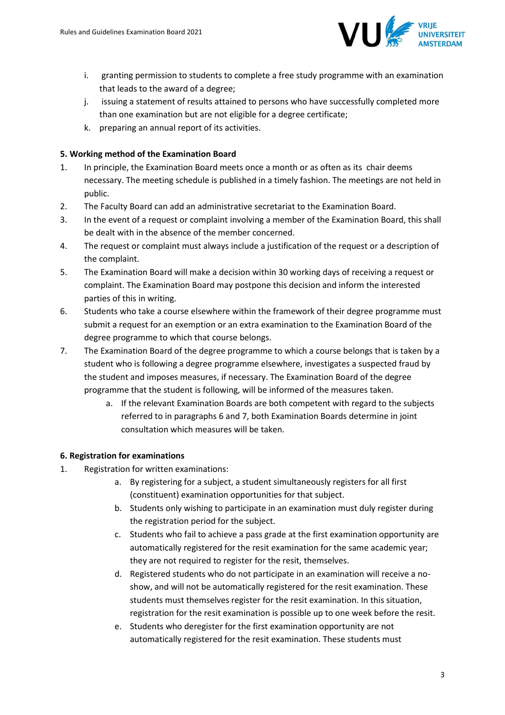

- i. granting permission to students to complete a free study programme with an examination that leads to the award of a degree;
- j. issuing a statement of results attained to persons who have successfully completed more than one examination but are not eligible for a degree certificate;
- k. preparing an annual report of its activities.

# **5. Working method of the Examination Board**

- 1. In principle, the Examination Board meets once a month or as often as its chair deems necessary. The meeting schedule is published in a timely fashion. The meetings are not held in public.
- 2. The Faculty Board can add an administrative secretariat to the Examination Board.
- 3. In the event of a request or complaint involving a member of the Examination Board, this shall be dealt with in the absence of the member concerned.
- 4. The request or complaint must always include a justification of the request or a description of the complaint.
- 5. The Examination Board will make a decision within 30 working days of receiving a request or complaint. The Examination Board may postpone this decision and inform the interested parties of this in writing.
- 6. Students who take a course elsewhere within the framework of their degree programme must submit a request for an exemption or an extra examination to the Examination Board of the degree programme to which that course belongs.
- 7. The Examination Board of the degree programme to which a course belongs that is taken by a student who is following a degree programme elsewhere, investigates a suspected fraud by the student and imposes measures, if necessary. The Examination Board of the degree programme that the student is following, will be informed of the measures taken.
	- a. If the relevant Examination Boards are both competent with regard to the subjects referred to in paragraphs 6 and 7, both Examination Boards determine in joint consultation which measures will be taken.

# **6. Registration for examinations**

- 1. Registration for written examinations:
	- a. By registering for a subject, a student simultaneously registers for all first (constituent) examination opportunities for that subject.
	- b. Students only wishing to participate in an examination must duly register during the registration period for the subject.
	- c. Students who fail to achieve a pass grade at the first examination opportunity are automatically registered for the resit examination for the same academic year; they are not required to register for the resit, themselves.
	- d. Registered students who do not participate in an examination will receive a noshow, and will not be automatically registered for the resit examination. These students must themselves register for the resit examination. In this situation, registration for the resit examination is possible up to one week before the resit.
	- e. Students who deregister for the first examination opportunity are not automatically registered for the resit examination. These students must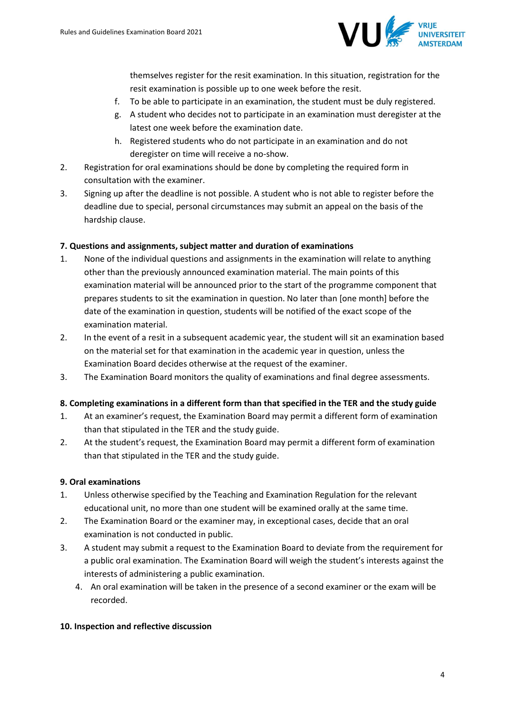

themselves register for the resit examination. In this situation, registration for the resit examination is possible up to one week before the resit.

- f. To be able to participate in an examination, the student must be duly registered.
- g. A student who decides not to participate in an examination must deregister at the latest one week before the examination date.
- h. Registered students who do not participate in an examination and do not deregister on time will receive a no-show.
- 2. Registration for oral examinations should be done by completing the required form in consultation with the examiner.
- 3. Signing up after the deadline is not possible. A student who is not able to register before the deadline due to special, personal circumstances may submit an appeal on the basis of the hardship clause.

# **7. Questions and assignments, subject matter and duration of examinations**

- 1. None of the individual questions and assignments in the examination will relate to anything other than the previously announced examination material. The main points of this examination material will be announced prior to the start of the programme component that prepares students to sit the examination in question. No later than [one month] before the date of the examination in question, students will be notified of the exact scope of the examination material.
- 2. In the event of a resit in a subsequent academic year, the student will sit an examination based on the material set for that examination in the academic year in question, unless the Examination Board decides otherwise at the request of the examiner.
- 3. The Examination Board monitors the quality of examinations and final degree assessments.

# **8. Completing examinations in a different form than that specified in the TER and the study guide**

- 1. At an examiner's request, the Examination Board may permit a different form of examination than that stipulated in the TER and the study guide.
- 2. At the student's request, the Examination Board may permit a different form of examination than that stipulated in the TER and the study guide.

# **9. Oral examinations**

- 1. Unless otherwise specified by the Teaching and Examination Regulation for the relevant educational unit, no more than one student will be examined orally at the same time.
- 2. The Examination Board or the examiner may, in exceptional cases, decide that an oral examination is not conducted in public.
- 3. A student may submit a request to the Examination Board to deviate from the requirement for a public oral examination. The Examination Board will weigh the student's interests against the interests of administering a public examination.
	- 4. An oral examination will be taken in the presence of a second examiner or the exam will be recorded.

#### **10. Inspection and reflective discussion**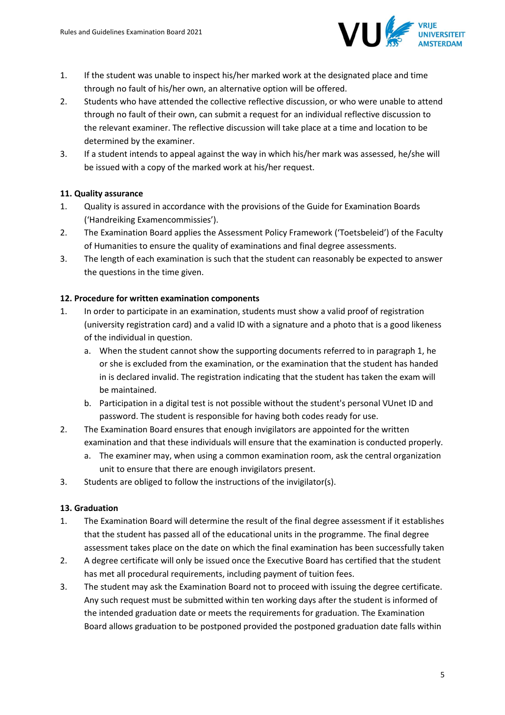

- 1. If the student was unable to inspect his/her marked work at the designated place and time through no fault of his/her own, an alternative option will be offered.
- 2. Students who have attended the collective reflective discussion, or who were unable to attend through no fault of their own, can submit a request for an individual reflective discussion to the relevant examiner. The reflective discussion will take place at a time and location to be determined by the examiner.
- 3. If a student intends to appeal against the way in which his/her mark was assessed, he/she will be issued with a copy of the marked work at his/her request.

# **11. Quality assurance**

- 1. Quality is assured in accordance with the provisions of the Guide for Examination Boards ('Handreiking Examencommissies').
- 2. The Examination Board applies the Assessment Policy Framework ('Toetsbeleid') of the Faculty of Humanities to ensure the quality of examinations and final degree assessments.
- 3. The length of each examination is such that the student can reasonably be expected to answer the questions in the time given.

# **12. Procedure for written examination components**

- 1. In order to participate in an examination, students must show a valid proof of registration (university registration card) and a valid ID with a signature and a photo that is a good likeness of the individual in question.
	- a. When the student cannot show the supporting documents referred to in paragraph 1, he or she is excluded from the examination, or the examination that the student has handed in is declared invalid. The registration indicating that the student has taken the exam will be maintained.
	- b. Participation in a digital test is not possible without the student's personal VUnet ID and password. The student is responsible for having both codes ready for use.
- 2. The Examination Board ensures that enough invigilators are appointed for the written examination and that these individuals will ensure that the examination is conducted properly.
	- a. The examiner may, when using a common examination room, ask the central organization unit to ensure that there are enough invigilators present.
- 3. Students are obliged to follow the instructions of the invigilator(s).

# **13. Graduation**

- 1. The Examination Board will determine the result of the final degree assessment if it establishes that the student has passed all of the educational units in the programme. The final degree assessment takes place on the date on which the final examination has been successfully taken
- 2. A degree certificate will only be issued once the Executive Board has certified that the student has met all procedural requirements, including payment of tuition fees.
- 3. The student may ask the Examination Board not to proceed with issuing the degree certificate. Any such request must be submitted within ten working days after the student is informed of the intended graduation date or meets the requirements for graduation. The Examination Board allows graduation to be postponed provided the postponed graduation date falls within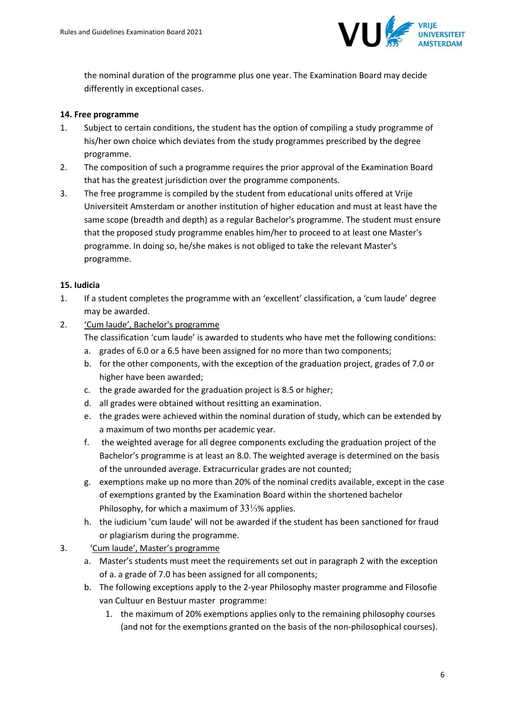

the nominal duration of the programme plus one year. The Examination Board may decide differently in exceptional cases.

### **14. Free programme**

- 1. Subject to certain conditions, the student has the option of compiling a study programme of his/her own choice which deviates from the study programmes prescribed by the degree programme.
- 2. The composition of such a programme requires the prior approval of the Examination Board that has the greatest jurisdiction over the programme components.
- 3. The free programme is compiled by the student from educational units offered at Vrije Universiteit Amsterdam or another institution of higher education and must at least have the same scope (breadth and depth) as a regular Bachelor's programme. The student must ensure that the proposed study programme enables him/her to proceed to at least one Master's programme. In doing so, he/she makes is not obliged to take the relevant Master's programme.

#### **15. Iudicia**

- 1. If a student completes the programme with an 'excellent' classification, a 'cum laude' degree may be awarded.
- 2. 'Cum laude', Bachelor's programme
	- The classification 'cum laude' is awarded to students who have met the following conditions:
	- a. grades of 6.0 or a 6.5 have been assigned for no more than two components;
	- b. for the other components, with the exception of the graduation project, grades of 7.0 or higher have been awarded;
	- c. the grade awarded for the graduation project is 8.5 or higher;
	- d. all grades were obtained without resitting an examination.
	- e. the grades were achieved within the nominal duration of study, which can be extended by a maximum of two months per academic year.
	- f. the weighted average for all degree components excluding the graduation project of the Bachelor's programme is at least an 8.0. The weighted average is determined on the basis of the unrounded average. Extracurricular grades are not counted;
	- g. exemptions make up no more than 20% of the nominal credits available, except in the case of exemptions granted by the Examination Board within the shortened bachelor Philosophy, for which a maximum of 33⅓% applies.
	- h. the iudicium 'cum laude' will not be awarded if the student has been sanctioned for fraud or plagiarism during the programme.
- 3. 'Cum laude', Master's programme
	- a. Master's students must meet the requirements set out in paragraph 2 with the exception of a. a grade of 7.0 has been assigned for all components;
	- b. The following exceptions apply to the 2-year Philosophy master programme and Filosofie van Cultuur en Bestuur master programme:
		- 1. the maximum of 20% exemptions applies only to the remaining philosophy courses (and not for the exemptions granted on the basis of the non-philosophical courses).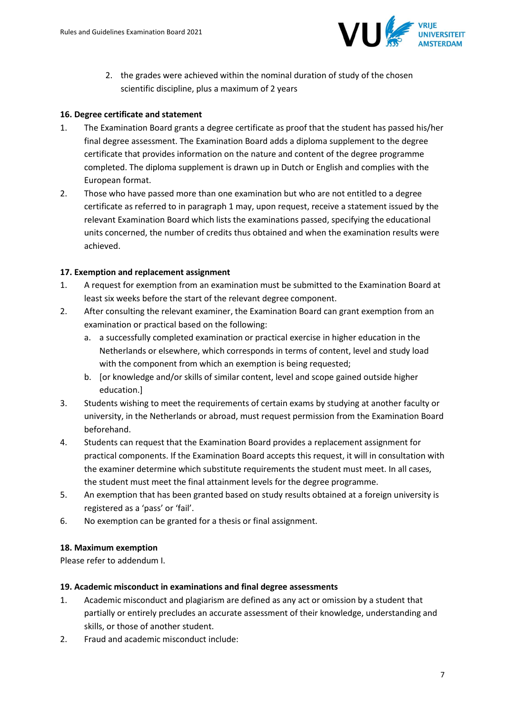

2. the grades were achieved within the nominal duration of study of the chosen scientific discipline, plus a maximum of 2 years

### **16. Degree certificate and statement**

- 1. The Examination Board grants a degree certificate as proof that the student has passed his/her final degree assessment. The Examination Board adds a diploma supplement to the degree certificate that provides information on the nature and content of the degree programme completed. The diploma supplement is drawn up in Dutch or English and complies with the European format.
- 2. Those who have passed more than one examination but who are not entitled to a degree certificate as referred to in paragraph 1 may, upon request, receive a statement issued by the relevant Examination Board which lists the examinations passed, specifying the educational units concerned, the number of credits thus obtained and when the examination results were achieved.

#### **17. Exemption and replacement assignment**

- 1. A request for exemption from an examination must be submitted to the Examination Board at least six weeks before the start of the relevant degree component.
- 2. After consulting the relevant examiner, the Examination Board can grant exemption from an examination or practical based on the following:
	- a. a successfully completed examination or practical exercise in higher education in the Netherlands or elsewhere, which corresponds in terms of content, level and study load with the component from which an exemption is being requested;
	- b. [or knowledge and/or skills of similar content, level and scope gained outside higher education.]
- 3. Students wishing to meet the requirements of certain exams by studying at another faculty or university, in the Netherlands or abroad, must request permission from the Examination Board beforehand.
- 4. Students can request that the Examination Board provides a replacement assignment for practical components. If the Examination Board accepts this request, it will in consultation with the examiner determine which substitute requirements the student must meet. In all cases, the student must meet the final attainment levels for the degree programme.
- 5. An exemption that has been granted based on study results obtained at a foreign university is registered as a 'pass' or 'fail'.
- 6. No exemption can be granted for a thesis or final assignment.

#### **18. Maximum exemption**

Please refer to addendum I.

#### **19. Academic misconduct in examinations and final degree assessments**

- 1. Academic misconduct and plagiarism are defined as any act or omission by a student that partially or entirely precludes an accurate assessment of their knowledge, understanding and skills, or those of another student.
- 2. Fraud and academic misconduct include: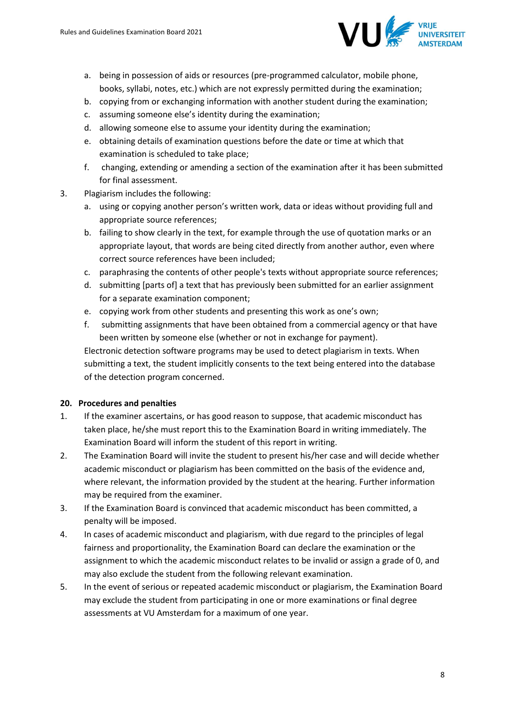

- a. being in possession of aids or resources (pre-programmed calculator, mobile phone, books, syllabi, notes, etc.) which are not expressly permitted during the examination;
- b. copying from or exchanging information with another student during the examination;
- c. assuming someone else's identity during the examination;
- d. allowing someone else to assume your identity during the examination;
- e. obtaining details of examination questions before the date or time at which that examination is scheduled to take place;
- f. changing, extending or amending a section of the examination after it has been submitted for final assessment.
- 3. Plagiarism includes the following:
	- a. using or copying another person's written work, data or ideas without providing full and appropriate source references;
	- b. failing to show clearly in the text, for example through the use of quotation marks or an appropriate layout, that words are being cited directly from another author, even where correct source references have been included;
	- c. paraphrasing the contents of other people's texts without appropriate source references;
	- d. submitting [parts of] a text that has previously been submitted for an earlier assignment for a separate examination component;
	- e. copying work from other students and presenting this work as one's own;
	- f. submitting assignments that have been obtained from a commercial agency or that have been written by someone else (whether or not in exchange for payment).

Electronic detection software programs may be used to detect plagiarism in texts. When submitting a text, the student implicitly consents to the text being entered into the database of the detection program concerned.

# **20. Procedures and penalties**

- 1. If the examiner ascertains, or has good reason to suppose, that academic misconduct has taken place, he/she must report this to the Examination Board in writing immediately. The Examination Board will inform the student of this report in writing.
- 2. The Examination Board will invite the student to present his/her case and will decide whether academic misconduct or plagiarism has been committed on the basis of the evidence and, where relevant, the information provided by the student at the hearing. Further information may be required from the examiner.
- 3. If the Examination Board is convinced that academic misconduct has been committed, a penalty will be imposed.
- 4. In cases of academic misconduct and plagiarism, with due regard to the principles of legal fairness and proportionality, the Examination Board can declare the examination or the assignment to which the academic misconduct relates to be invalid or assign a grade of 0, and may also exclude the student from the following relevant examination.
- 5. In the event of serious or repeated academic misconduct or plagiarism, the Examination Board may exclude the student from participating in one or more examinations or final degree assessments at VU Amsterdam for a maximum of one year.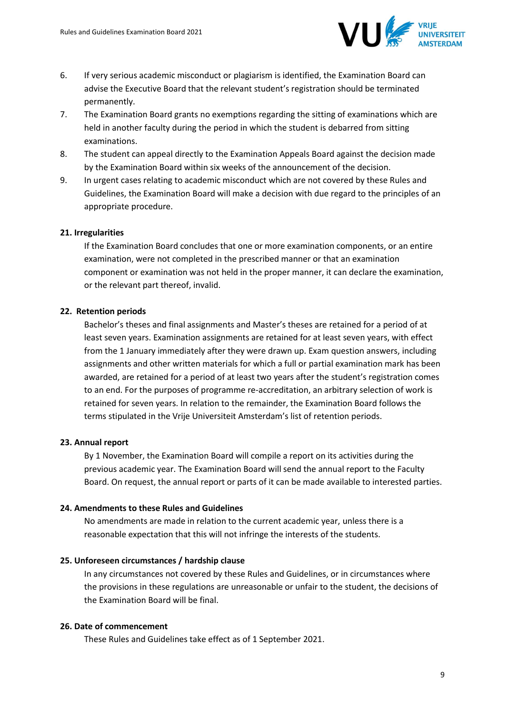

- 6. If very serious academic misconduct or plagiarism is identified, the Examination Board can advise the Executive Board that the relevant student's registration should be terminated permanently.
- 7. The Examination Board grants no exemptions regarding the sitting of examinations which are held in another faculty during the period in which the student is debarred from sitting examinations.
- 8. The student can appeal directly to the Examination Appeals Board against the decision made by the Examination Board within six weeks of the announcement of the decision.
- 9. In urgent cases relating to academic misconduct which are not covered by these Rules and Guidelines, the Examination Board will make a decision with due regard to the principles of an appropriate procedure.

#### **21. Irregularities**

If the Examination Board concludes that one or more examination components, or an entire examination, were not completed in the prescribed manner or that an examination component or examination was not held in the proper manner, it can declare the examination, or the relevant part thereof, invalid.

#### **22. Retention periods**

Bachelor's theses and final assignments and Master's theses are retained for a period of at least seven years. Examination assignments are retained for at least seven years, with effect from the 1 January immediately after they were drawn up. Exam question answers, including assignments and other written materials for which a full or partial examination mark has been awarded, are retained for a period of at least two years after the student's registration comes to an end. For the purposes of programme re-accreditation, an arbitrary selection of work is retained for seven years. In relation to the remainder, the Examination Board follows the terms stipulated in the Vrije Universiteit Amsterdam's list of retention periods.

#### **23. Annual report**

By 1 November, the Examination Board will compile a report on its activities during the previous academic year. The Examination Board will send the annual report to the Faculty Board. On request, the annual report or parts of it can be made available to interested parties.

#### **24. Amendments to these Rules and Guidelines**

No amendments are made in relation to the current academic year, unless there is a reasonable expectation that this will not infringe the interests of the students.

#### **25. Unforeseen circumstances / hardship clause**

In any circumstances not covered by these Rules and Guidelines, or in circumstances where the provisions in these regulations are unreasonable or unfair to the student, the decisions of the Examination Board will be final.

#### **26. Date of commencement**

These Rules and Guidelines take effect as of 1 September 2021.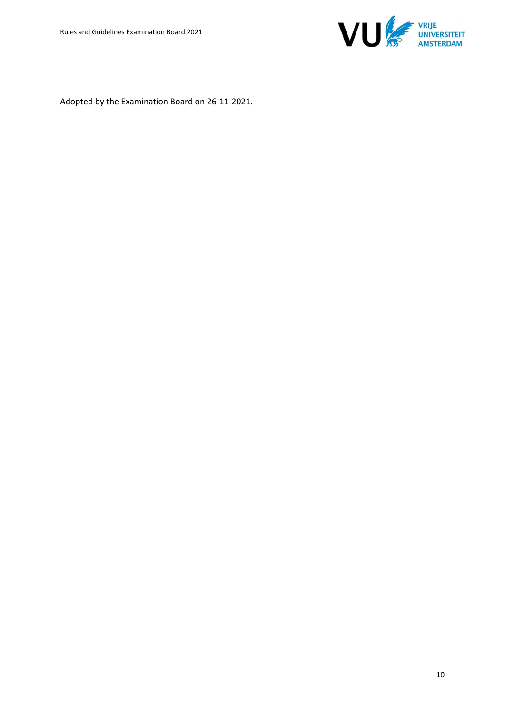

Adopted by the Examination Board on 26-11-2021.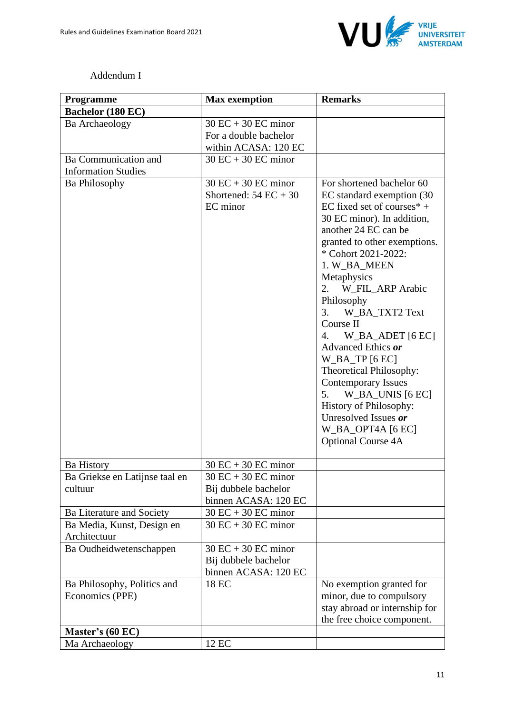

# Addendum I

| <b>Programme</b>                                   | <b>Max</b> exemption                                                   | <b>Remarks</b>                                                                                                                                                                                                                                                                                                                                                                                                                                                                                                                                                                     |
|----------------------------------------------------|------------------------------------------------------------------------|------------------------------------------------------------------------------------------------------------------------------------------------------------------------------------------------------------------------------------------------------------------------------------------------------------------------------------------------------------------------------------------------------------------------------------------------------------------------------------------------------------------------------------------------------------------------------------|
| Bachelor (180 EC)                                  |                                                                        |                                                                                                                                                                                                                                                                                                                                                                                                                                                                                                                                                                                    |
| Ba Archaeology                                     | $30$ EC + 30 EC minor<br>For a double bachelor<br>within ACASA: 120 EC |                                                                                                                                                                                                                                                                                                                                                                                                                                                                                                                                                                                    |
| Ba Communication and<br><b>Information Studies</b> | $30$ EC + 30 EC minor                                                  |                                                                                                                                                                                                                                                                                                                                                                                                                                                                                                                                                                                    |
| <b>Ba Philosophy</b>                               | $30$ EC + 30 EC minor<br>Shortened: $54 EC + 30$<br>EC minor           | For shortened bachelor 60<br>EC standard exemption (30<br>EC fixed set of courses $*$ +<br>30 EC minor). In addition,<br>another 24 EC can be<br>granted to other exemptions.<br>* Cohort 2021-2022:<br>1. W_BA_MEEN<br>Metaphysics<br>W_FIL_ARP Arabic<br>2.<br>Philosophy<br>3.<br>W_BA_TXT2 Text<br>Course II<br>4.<br>$W$ _BA_ADET [6 EC]<br>Advanced Ethics or<br>$W$ _BA_TP [6 EC]<br>Theoretical Philosophy:<br><b>Contemporary Issues</b><br>W_BA_UNIS [6 EC]<br>5.<br>History of Philosophy:<br>Unresolved Issues or<br>$W$ _BA_OPT4A [6 EC]<br><b>Optional Course 4A</b> |
| <b>Ba History</b>                                  | $30$ EC + 30 EC minor                                                  |                                                                                                                                                                                                                                                                                                                                                                                                                                                                                                                                                                                    |
| Ba Griekse en Latijnse taal en<br>cultuur          | $30$ EC + 30 EC minor<br>Bij dubbele bachelor<br>binnen ACASA: 120 EC  |                                                                                                                                                                                                                                                                                                                                                                                                                                                                                                                                                                                    |
| Ba Literature and Society                          | $30$ EC + 30 EC minor                                                  |                                                                                                                                                                                                                                                                                                                                                                                                                                                                                                                                                                                    |
| Ba Media, Kunst, Design en<br>Architectuur         | $30$ EC + 30 EC minor                                                  |                                                                                                                                                                                                                                                                                                                                                                                                                                                                                                                                                                                    |
| Ba Oudheidwetenschappen                            | $30$ EC + 30 EC minor<br>Bij dubbele bachelor<br>binnen ACASA: 120 EC  |                                                                                                                                                                                                                                                                                                                                                                                                                                                                                                                                                                                    |
| Ba Philosophy, Politics and<br>Economics (PPE)     | 18 EC                                                                  | No exemption granted for<br>minor, due to compulsory<br>stay abroad or internship for<br>the free choice component.                                                                                                                                                                                                                                                                                                                                                                                                                                                                |
| Master's (60 EC)                                   |                                                                        |                                                                                                                                                                                                                                                                                                                                                                                                                                                                                                                                                                                    |
| Ma Archaeology                                     | 12 EC                                                                  |                                                                                                                                                                                                                                                                                                                                                                                                                                                                                                                                                                                    |